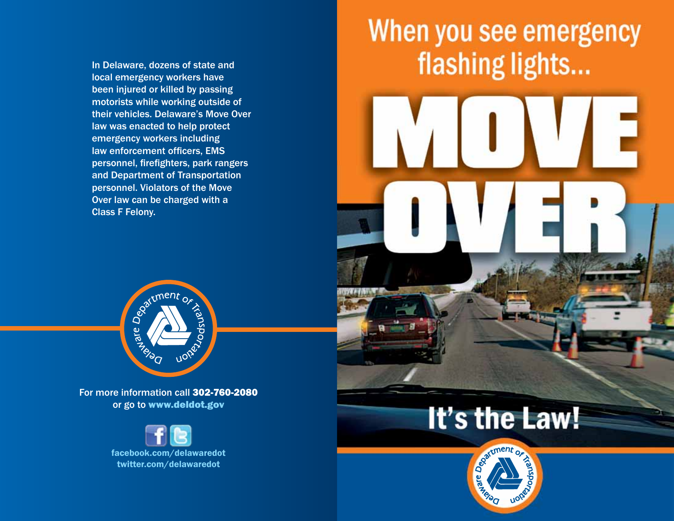In Delaware, dozens of state and local emergency workers have been injured or killed by passing motorists while working outside of their vehicles. Delaware's Move Over law was enacted to help protect emergency workers including law enforcement officers, EMS personnel, firefighters, park rangers and Department of Transportation personnel. Violators of the Move Over law can be charged with a Class F Felony.







For more information call 302-760-2080 or go to www.deldot.gov

> facebook.com/delawaredot twitter.com/delawaredot

## It's the Law!